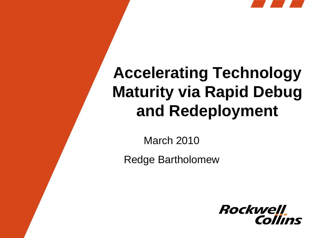

# **Accelerating Technology Maturity via Rapid Debug and Redeployment**

March 2010

Redge Bartholomew

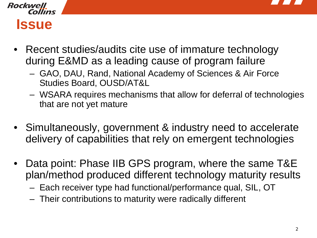

#### **Rockwell Collins Issue**

- Recent studies/audits cite use of immature technology during E&MD as a leading cause of program failure
	- GAO, DAU, Rand, National Academy of Sciences & Air Force Studies Board, OUSD/AT&L
	- WSARA requires mechanisms that allow for deferral of technologies that are not yet mature
- Simultaneously, government & industry need to accelerate delivery of capabilities that rely on emergent technologies
- Data point: Phase IIB GPS program, where the same T&E plan/method produced different technology maturity results
	- Each receiver type had functional/performance qual, SIL, OT
	- Their contributions to maturity were radically different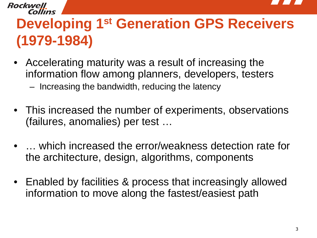

## **Developing 1st Generation GPS Receivers (1979-1984)**

• Accelerating maturity was a result of increasing the information flow among planners, developers, testers – Increasing the bandwidth, reducing the latency

Rockwel

- This increased the number of experiments, observations (failures, anomalies) per test …
- … which increased the error/weakness detection rate for the architecture, design, algorithms, components
- Enabled by facilities & process that increasingly allowed information to move along the fastest/easiest path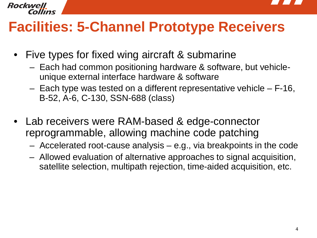

#### Rockwell

#### **Facilities: 5-Channel Prototype Receivers**

- Five types for fixed wing aircraft & submarine
	- Each had common positioning hardware & software, but vehicleunique external interface hardware & software
	- Each type was tested on a different representative vehicle F-16, B-52, A-6, C-130, SSN-688 (class)
- Lab receivers were RAM-based & edge-connector reprogrammable, allowing machine code patching
	- Accelerated root-cause analysis e.g., via breakpoints in the code
	- Allowed evaluation of alternative approaches to signal acquisition, satellite selection, multipath rejection, time-aided acquisition, etc.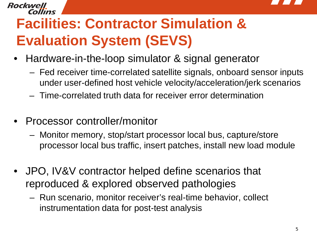

# **Facilities: Contractor Simulation & Evaluation System (SEVS)**

- Hardware-in-the-loop simulator & signal generator
	- Fed receiver time-correlated satellite signals, onboard sensor inputs under user-defined host vehicle velocity/acceleration/jerk scenarios
	- Time-correlated truth data for receiver error determination
- Processor controller/monitor

Rockwell

- Monitor memory, stop/start processor local bus, capture/store processor local bus traffic, insert patches, install new load module
- JPO, IV&V contractor helped define scenarios that reproduced & explored observed pathologies
	- Run scenario, monitor receiver's real-time behavior, collect instrumentation data for post-test analysis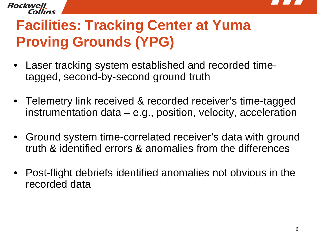

## **Facilities: Tracking Center at Yuma Proving Grounds (YPG)**

Rockwell

- Laser tracking system established and recorded timetagged, second-by-second ground truth
- Telemetry link received & recorded receiver's time-tagged instrumentation data – e.g., position, velocity, acceleration
- Ground system time-correlated receiver's data with ground truth & identified errors & anomalies from the differences
- Post-flight debriefs identified anomalies not obvious in the recorded data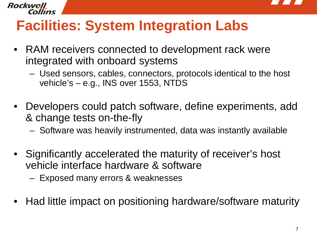

#### Rockwell

## **Facilities: System Integration Labs**

- RAM receivers connected to development rack were integrated with onboard systems
	- Used sensors, cables, connectors, protocols identical to the host vehicle's – e.g., INS over 1553, NTDS
- Developers could patch software, define experiments, add & change tests on-the-fly
	- Software was heavily instrumented, data was instantly available
- Significantly accelerated the maturity of receiver's host vehicle interface hardware & software
	- Exposed many errors & weaknesses
- Had little impact on positioning hardware/software maturity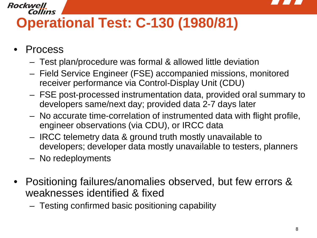

#### Rockwell Collins **Operational Test: C-130 (1980/81)**

- **Process** 
	- Test plan/procedure was formal & allowed little deviation
	- Field Service Engineer (FSE) accompanied missions, monitored receiver performance via Control-Display Unit (CDU)
	- FSE post-processed instrumentation data, provided oral summary to developers same/next day; provided data 2-7 days later
	- No accurate time-correlation of instrumented data with flight profile, engineer observations (via CDU), or IRCC data
	- IRCC telemetry data & ground truth mostly unavailable to developers; developer data mostly unavailable to testers, planners
	- No redeployments
- Positioning failures/anomalies observed, but few errors & weaknesses identified & fixed
	- Testing confirmed basic positioning capability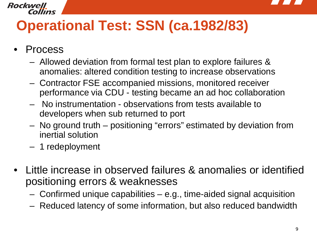

#### **Rockwell** Collins

### **Operational Test: SSN (ca.1982/83)**

- **Process** 
	- Allowed deviation from formal test plan to explore failures & anomalies: altered condition testing to increase observations
	- Contractor FSE accompanied missions, monitored receiver performance via CDU - testing became an ad hoc collaboration
	- No instrumentation observations from tests available to developers when sub returned to port
	- No ground truth positioning "errors" estimated by deviation from inertial solution
	- 1 redeployment
- Little increase in observed failures & anomalies or identified positioning errors & weaknesses
	- Confirmed unique capabilities e.g., time-aided signal acquisition
	- Reduced latency of some information, but also reduced bandwidth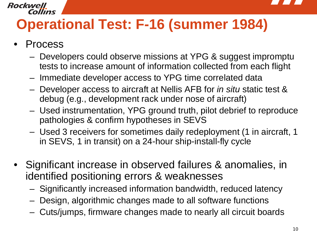

# **Operational Test: F-16 (summer 1984)**

**Process** 

Collins

Rockwell

- Developers could observe missions at YPG & suggest impromptu tests to increase amount of information collected from each flight
- Immediate developer access to YPG time correlated data
- Developer access to aircraft at Nellis AFB for *in situ* static test & debug (e.g., development rack under nose of aircraft)
- Used instrumentation, YPG ground truth, pilot debrief to reproduce pathologies & confirm hypotheses in SEVS
- Used 3 receivers for sometimes daily redeployment (1 in aircraft, 1 in SEVS, 1 in transit) on a 24-hour ship-install-fly cycle
- Significant increase in observed failures & anomalies, in identified positioning errors & weaknesses
	- Significantly increased information bandwidth, reduced latency
	- Design, algorithmic changes made to all software functions
	- Cuts/jumps, firmware changes made to nearly all circuit boards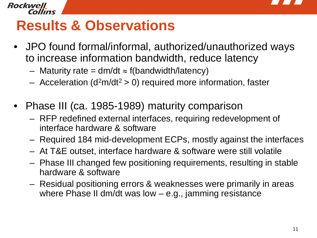

#### Rockwell

### **Results & Observations**

- JPO found formal/informal, authorized/unauthorized ways to increase information bandwidth, reduce latency
	- Maturity rate =  $dm/dt \approx f(bandwidth/latency)$
	- Acceleration ( $d^2m/dt^2 > 0$ ) required more information, faster
- Phase III (ca. 1985-1989) maturity comparison
	- RFP redefined external interfaces, requiring redevelopment of interface hardware & software
	- Required 184 mid-development ECPs, mostly against the interfaces
	- At T&E outset, interface hardware & software were still volatile
	- Phase III changed few positioning requirements, resulting in stable hardware & software
	- Residual positioning errors & weaknesses were primarily in areas where Phase II dm/dt was low – e.g., jamming resistance